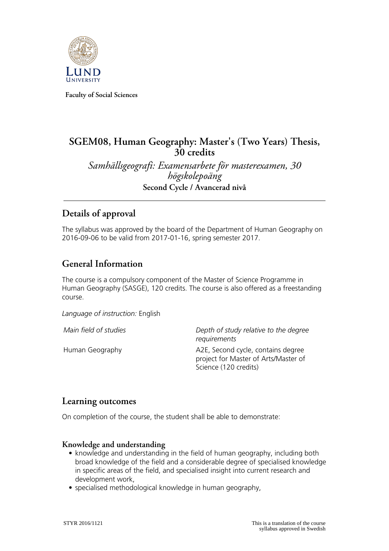

**Faculty of Social Sciences**

# **SGEM08, Human Geography: Master's (Two Years) Thesis, 30 credits**

*Samhällsgeografi: Examensarbete för masterexamen, 30 högskolepoäng* **Second Cycle / Avancerad nivå**

# **Details of approval**

The syllabus was approved by the board of the Department of Human Geography on 2016-09-06 to be valid from 2017-01-16, spring semester 2017.

# **General Information**

The course is a compulsory component of the Master of Science Programme in Human Geography (SASGE), 120 credits. The course is also offered as a freestanding course.

*Language of instruction:* English

*Main field of studies Depth of study relative to the degree requirements* Human Geography A2E, Second cycle, contains degree project for Master of Arts/Master of Science (120 credits)

## **Learning outcomes**

On completion of the course, the student shall be able to demonstrate:

#### **Knowledge and understanding**

- knowledge and understanding in the field of human geography, including both broad knowledge of the field and a considerable degree of specialised knowledge in specific areas of the field, and specialised insight into current research and development work,
- specialised methodological knowledge in human geography,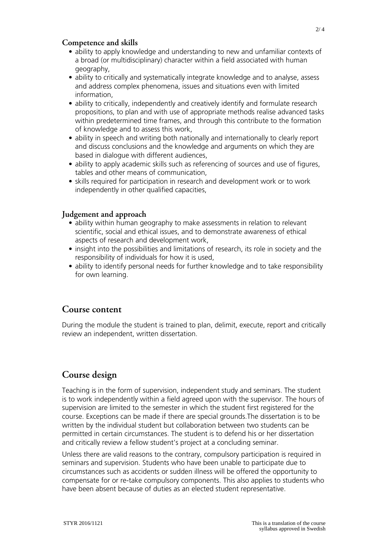#### **Competence and skills**

- ability to apply knowledge and understanding to new and unfamiliar contexts of a broad (or multidisciplinary) character within a field associated with human geography,
- ability to critically and systematically integrate knowledge and to analyse, assess and address complex phenomena, issues and situations even with limited information,
- ability to critically, independently and creatively identify and formulate research propositions, to plan and with use of appropriate methods realise advanced tasks within predetermined time frames, and through this contribute to the formation of knowledge and to assess this work,
- ability in speech and writing both nationally and internationally to clearly report and discuss conclusions and the knowledge and arguments on which they are based in dialogue with different audiences,
- ability to apply academic skills such as referencing of sources and use of figures, tables and other means of communication,
- skills required for participation in research and development work or to work independently in other qualified capacities,

#### **Judgement and approach**

- ability within human geography to make assessments in relation to relevant scientific, social and ethical issues, and to demonstrate awareness of ethical aspects of research and development work,
- insight into the possibilities and limitations of research, its role in society and the responsibility of individuals for how it is used,
- ability to identify personal needs for further knowledge and to take responsibility for own learning.

## **Course content**

During the module the student is trained to plan, delimit, execute, report and critically review an independent, written dissertation.

# **Course design**

Teaching is in the form of supervision, independent study and seminars. The student is to work independently within a field agreed upon with the supervisor. The hours of supervision are limited to the semester in which the student first registered for the course. Exceptions can be made if there are special grounds.The dissertation is to be written by the individual student but collaboration between two students can be permitted in certain circumstances. The student is to defend his or her dissertation and critically review a fellow student's project at a concluding seminar.

Unless there are valid reasons to the contrary, compulsory participation is required in seminars and supervision. Students who have been unable to participate due to circumstances such as accidents or sudden illness will be offered the opportunity to compensate for or re-take compulsory components. This also applies to students who have been absent because of duties as an elected student representative.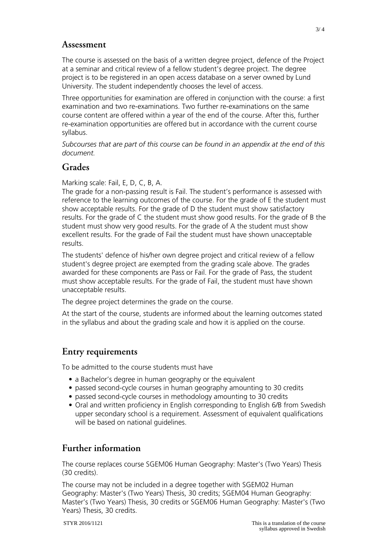#### **Assessment**

The course is assessed on the basis of a written degree project, defence of the Project at a seminar and critical review of a fellow student's degree project. The degree project is to be registered in an open access database on a server owned by Lund University. The student independently chooses the level of access.

Three opportunities for examination are offered in conjunction with the course: a first examination and two re-examinations. Two further re-examinations on the same course content are offered within a year of the end of the course. After this, further re-examination opportunities are offered but in accordance with the current course syllabus.

*Subcourses that are part of this course can be found in an appendix at the end of this document.*

### **Grades**

Marking scale: Fail, E, D, C, B, A.

The grade for a non-passing result is Fail. The student's performance is assessed with reference to the learning outcomes of the course. For the grade of E the student must show acceptable results. For the grade of D the student must show satisfactory results. For the grade of C the student must show good results. For the grade of B the student must show very good results. For the grade of A the student must show excellent results. For the grade of Fail the student must have shown unacceptable results.

The students' defence of his/her own degree project and critical review of a fellow student's degree project are exempted from the grading scale above. The grades awarded for these components are Pass or Fail. For the grade of Pass, the student must show acceptable results. For the grade of Fail, the student must have shown unacceptable results.

The degree project determines the grade on the course.

At the start of the course, students are informed about the learning outcomes stated in the syllabus and about the grading scale and how it is applied on the course.

## **Entry requirements**

To be admitted to the course students must have

- a Bachelor's degree in human geography or the equivalent
- passed second-cycle courses in human geography amounting to 30 credits
- passed second-cycle courses in methodology amounting to 30 credits
- Oral and written proficiency in English corresponding to English 6/B from Swedish upper secondary school is a requirement. Assessment of equivalent qualifications will be based on national guidelines.

## **Further information**

The course replaces course SGEM06 Human Geography: Master's (Two Years) Thesis (30 credits).

The course may not be included in a degree together with SGEM02 Human Geography: Master's (Two Years) Thesis, 30 credits; SGEM04 Human Geography: Master's (Two Years) Thesis, 30 credits or SGEM06 Human Geography: Master's (Two Years) Thesis, 30 credits.